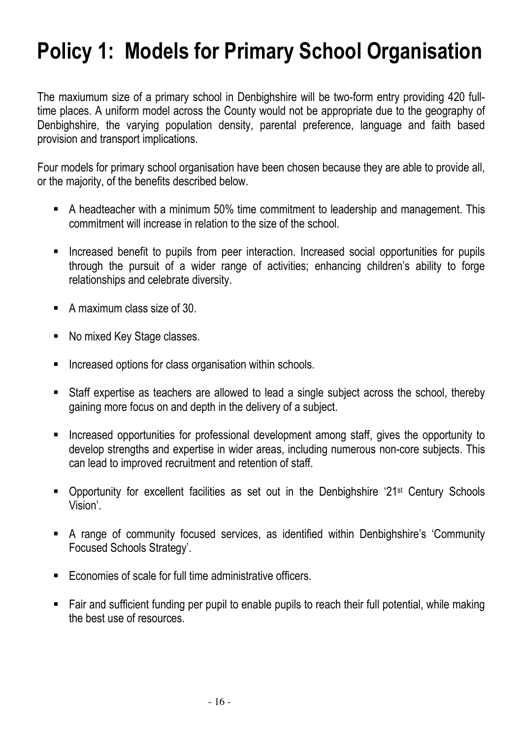# Policy 1: Models for Primary School Organisation

The maxiumum size of a primary school in Denbighshire will be two-form entry providing 420 fulltime places. A uniform model across the County would not be appropriate due to the geography of Denbighshire, the varying population density, parental preference, language and faith based provision and transport implications.

Four models for primary school organisation have been chosen because they are able to provide all, or the majority, of the benefits described below.

- A headteacher with a minimum 50% time commitment to leadership and management. This commitment will increase in relation to the size of the school.
- Increased benefit to pupils from peer interaction. Increased social opportunities for pupils through the pursuit of a wider range of activities; enhancing children's ability to forge relationships and celebrate diversity.
- A maximum class size of 30.
- No mixed Key Stage classes.
- Increased options for class organisation within schools.
- Staff expertise as teachers are allowed to lead a single subject across the school, thereby gaining more focus on and depth in the delivery of a subject.
- **Increased opportunities for professional development among staff, gives the opportunity to** develop strengths and expertise in wider areas, including numerous non-core subjects. This can lead to improved recruitment and retention of staff.
- Opportunity for excellent facilities as set out in the Denbighshire '21<sup>st</sup> Century Schools Vision'.
- A range of community focused services, as identified within Denbighshire's 'Community Focused Schools Strategy'.
- Economies of scale for full time administrative officers.
- Fair and sufficient funding per pupil to enable pupils to reach their full potential, while making the best use of resources.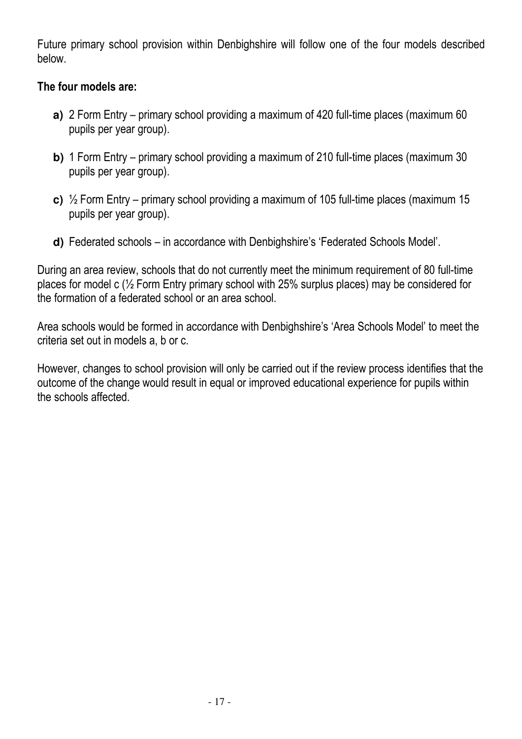Future primary school provision within Denbighshire will follow one of the four models described below.

### The four models are:

- **a)** 2 Form Entry primary school providing a maximum of 420 full-time places (maximum 60 pupils per year group).
- **b)** 1 Form Entry primary school providing a maximum of 210 full-time places (maximum 30 pupils per year group).
- **c)** ½ Form Entry primary school providing a maximum of 105 full-time places (maximum 15 pupils per year group).
- **d)** Federated schools in accordance with Denbighshire's 'Federated Schools Model'.

During an area review, schools that do not currently meet the minimum requirement of 80 full-time places for model c (½ Form Entry primary school with 25% surplus places) may be considered for the formation of a federated school or an area school.

Area schools would be formed in accordance with Denbighshire's 'Area Schools Model' to meet the criteria set out in models a, b or c.

However, changes to school provision will only be carried out if the review process identifies that the outcome of the change would result in equal or improved educational experience for pupils within the schools affected.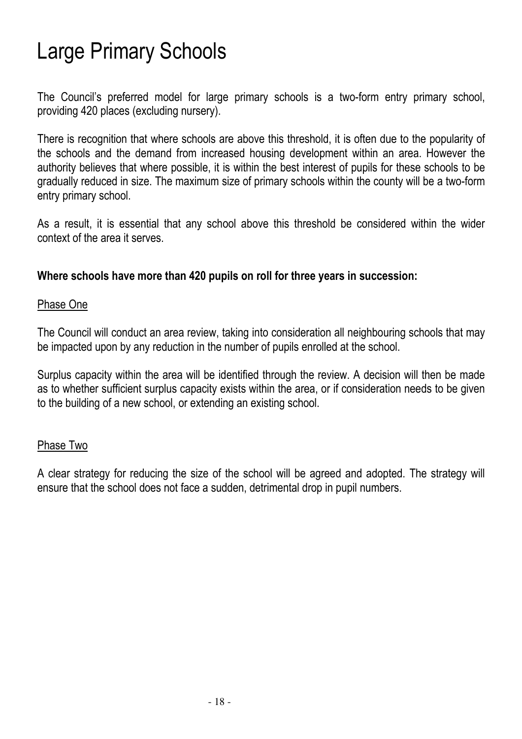# Large Primary Schools

The Council's preferred model for large primary schools is a two-form entry primary school, providing 420 places (excluding nursery).

There is recognition that where schools are above this threshold, it is often due to the popularity of the schools and the demand from increased housing development within an area. However the authority believes that where possible, it is within the best interest of pupils for these schools to be gradually reduced in size. The maximum size of primary schools within the county will be a two-form entry primary school.

As a result, it is essential that any school above this threshold be considered within the wider context of the area it serves.

### Where schools have more than 420 pupils on roll for three years in succession:

### Phase One

The Council will conduct an area review, taking into consideration all neighbouring schools that may be impacted upon by any reduction in the number of pupils enrolled at the school.

Surplus capacity within the area will be identified through the review. A decision will then be made as to whether sufficient surplus capacity exists within the area, or if consideration needs to be given to the building of a new school, or extending an existing school.

### Phase Two

A clear strategy for reducing the size of the school will be agreed and adopted. The strategy will ensure that the school does not face a sudden, detrimental drop in pupil numbers.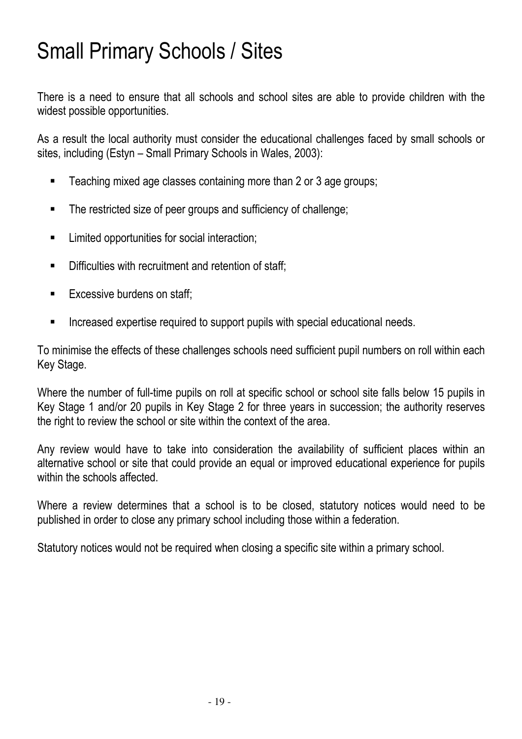# Small Primary Schools / Sites

There is a need to ensure that all schools and school sites are able to provide children with the widest possible opportunities.

As a result the local authority must consider the educational challenges faced by small schools or sites, including (Estyn – Small Primary Schools in Wales, 2003):

- **Teaching mixed age classes containing more than 2 or 3 age groups;**
- The restricted size of peer groups and sufficiency of challenge;
- **EXECUTE:** Limited opportunities for social interaction;
- **Difficulties with recruitment and retention of staff;**
- **Excessive burdens on staff:**
- **Increased expertise required to support pupils with special educational needs.**

To minimise the effects of these challenges schools need sufficient pupil numbers on roll within each Key Stage.

Where the number of full-time pupils on roll at specific school or school site falls below 15 pupils in Key Stage 1 and/or 20 pupils in Key Stage 2 for three years in succession; the authority reserves the right to review the school or site within the context of the area.

Any review would have to take into consideration the availability of sufficient places within an alternative school or site that could provide an equal or improved educational experience for pupils within the schools affected.

Where a review determines that a school is to be closed, statutory notices would need to be published in order to close any primary school including those within a federation.

Statutory notices would not be required when closing a specific site within a primary school.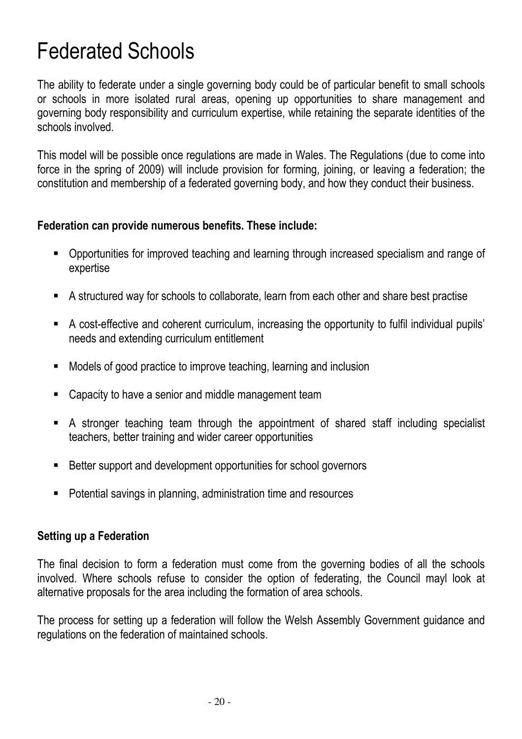## Federated Schools

The ability to federate under a single governing body could be of particular benefit to small schools or schools in more isolated rural areas, opening up opportunities to share management and governing body responsibility and curriculum expertise, while retaining the separate identities of the schools involved.

This model will be possible once regulations are made in Wales. The Regulations (due to come into force in the spring of 2009) will include provision for forming, joining, or leaving a federation; the constitution and membership of a federated governing body, and how they conduct their business.

### Federation can provide numerous benefits. These include:

- Opportunities for improved teaching and learning through increased specialism and range of expertise
- A structured way for schools to collaborate, learn from each other and share best practise
- A cost-effective and coherent curriculum, increasing the opportunity to fulfil individual pupils' needs and extending curriculum entitlement
- Models of good practice to improve teaching, learning and inclusion
- **EXEC** Capacity to have a senior and middle management team
- A stronger teaching team through the appointment of shared staff including specialist teachers, better training and wider career opportunities
- Better support and development opportunities for school governors
- Potential savings in planning, administration time and resources

### Setting up a Federation

The final decision to form a federation must come from the governing bodies of all the schools involved. Where schools refuse to consider the option of federating, the Council mayl look at alternative proposals for the area including the formation of area schools.

The process for setting up a federation will follow the Welsh Assembly Government guidance and regulations on the federation of maintained schools.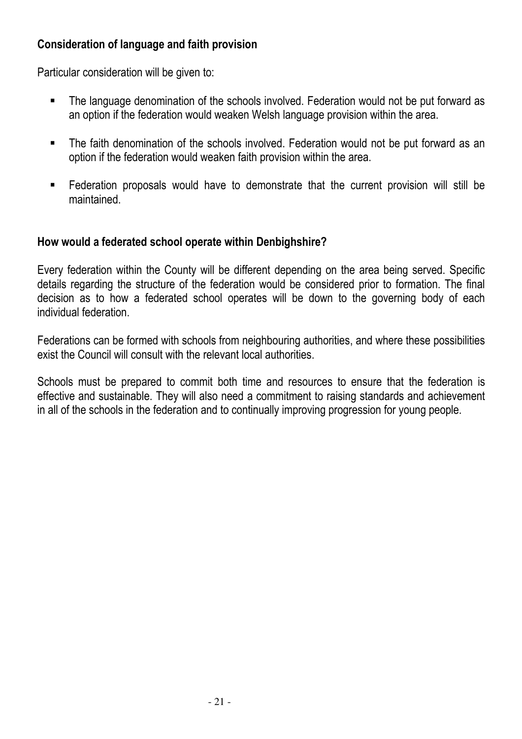## Consideration of language and faith provision

Particular consideration will be given to:

- The language denomination of the schools involved. Federation would not be put forward as an option if the federation would weaken Welsh language provision within the area.
- The faith denomination of the schools involved. Federation would not be put forward as an option if the federation would weaken faith provision within the area.
- Federation proposals would have to demonstrate that the current provision will still be maintained.

### How would a federated school operate within Denbighshire?

Every federation within the County will be different depending on the area being served. Specific details regarding the structure of the federation would be considered prior to formation. The final decision as to how a federated school operates will be down to the governing body of each individual federation.

Federations can be formed with schools from neighbouring authorities, and where these possibilities exist the Council will consult with the relevant local authorities.

Schools must be prepared to commit both time and resources to ensure that the federation is effective and sustainable. They will also need a commitment to raising standards and achievement in all of the schools in the federation and to continually improving progression for young people.